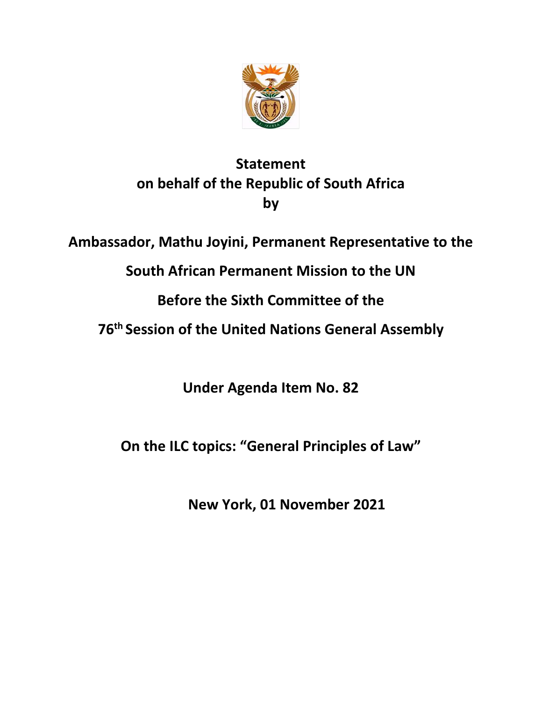

## **Statement on behalf of the Republic of South Africa by**

**Ambassador, Mathu Joyini, Permanent Representative to the** 

**South African Permanent Mission to the UN**

**Before the Sixth Committee of the**

**76th Session of the United Nations General Assembly**

**Under Agenda Item No. 82**

**On the ILC topics: "General Principles of Law"**

**New York, 01 November 2021**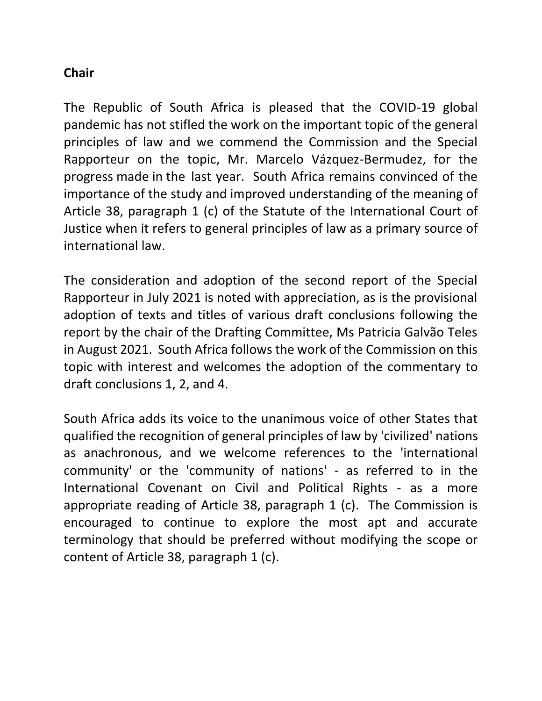## **Chair**

The Republic of South Africa is pleased that the COVID-19 global pandemic has not stifled the work on the important topic of the general principles of law and we commend the Commission and the Special Rapporteur on the topic, Mr. Marcelo Vázquez-Bermudez, for the progress made in the last year. South Africa remains convinced of the importance of the study and improved understanding of the meaning of Article 38, paragraph 1 (c) of the Statute of the International Court of Justice when it refers to general principles of law as a primary source of international law.

The consideration and adoption of the second report of the Special Rapporteur in July 2021 is noted with appreciation, as is the provisional adoption of texts and titles of various draft conclusions following the report by the chair of the Drafting Committee, Ms Patricia Galvão Teles in August 2021. South Africa follows the work of the Commission on this topic with interest and welcomes the adoption of the commentary to draft conclusions 1, 2, and 4.

South Africa adds its voice to the unanimous voice of other States that qualified the recognition of general principles of law by 'civilized' nations as anachronous, and we welcome references to the 'international community' or the 'community of nations' - as referred to in the International Covenant on Civil and Political Rights - as a more appropriate reading of Article 38, paragraph 1 (c). The Commission is encouraged to continue to explore the most apt and accurate terminology that should be preferred without modifying the scope or content of Article 38, paragraph 1 (c).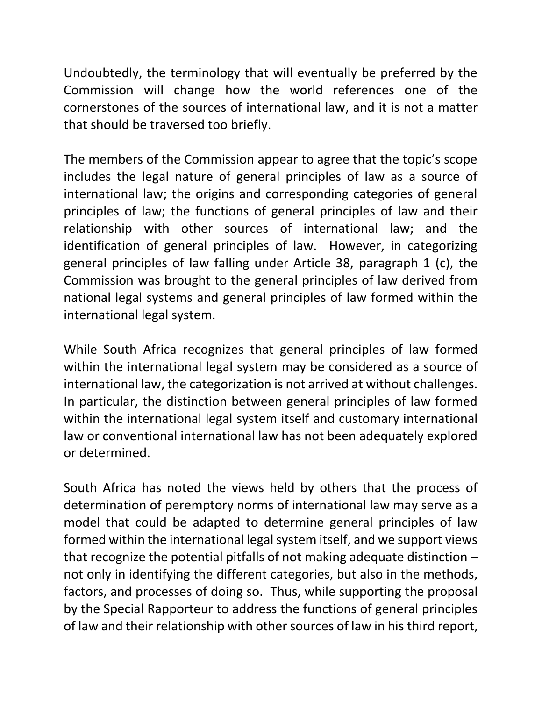Undoubtedly, the terminology that will eventually be preferred by the Commission will change how the world references one of the cornerstones of the sources of international law, and it is not a matter that should be traversed too briefly.

The members of the Commission appear to agree that the topic's scope includes the legal nature of general principles of law as a source of international law; the origins and corresponding categories of general principles of law; the functions of general principles of law and their relationship with other sources of international law; and the identification of general principles of law. However, in categorizing general principles of law falling under Article 38, paragraph 1 (c), the Commission was brought to the general principles of law derived from national legal systems and general principles of law formed within the international legal system.

While South Africa recognizes that general principles of law formed within the international legal system may be considered as a source of international law, the categorization is not arrived at without challenges. In particular, the distinction between general principles of law formed within the international legal system itself and customary international law or conventional international law has not been adequately explored or determined.

South Africa has noted the views held by others that the process of determination of peremptory norms of international law may serve as a model that could be adapted to determine general principles of law formed within the international legal system itself, and we support views that recognize the potential pitfalls of not making adequate distinction – not only in identifying the different categories, but also in the methods, factors, and processes of doing so. Thus, while supporting the proposal by the Special Rapporteur to address the functions of general principles of law and their relationship with other sources of law in his third report,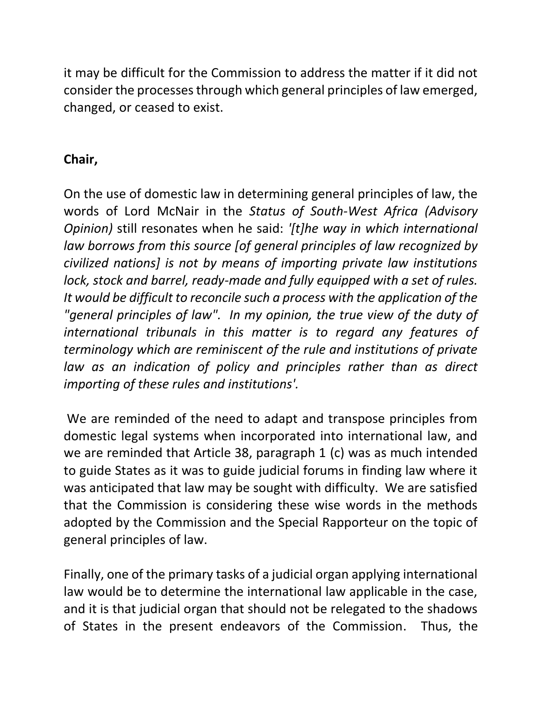it may be difficult for the Commission to address the matter if it did not consider the processes through which general principles of law emerged, changed, or ceased to exist.

## **Chair,**

On the use of domestic law in determining general principles of law, the words of Lord McNair in the *Status of South-West Africa (Advisory Opinion)* still resonates when he said: *'[t]he way in which international law borrows from this source [of general principles of law recognized by civilized nations] is not by means of importing private law institutions lock, stock and barrel, ready-made and fully equipped with a set of rules. It would be difficult to reconcile such a process with the application of the*  "general principles of law". In my opinion, the true view of the duty of *international tribunals in this matter is to regard any features of terminology which are reminiscent of the rule and institutions of private*  law as an indication of policy and principles rather than as direct *importing of these rules and institutions'.* 

We are reminded of the need to adapt and transpose principles from domestic legal systems when incorporated into international law, and we are reminded that Article 38, paragraph 1 (c) was as much intended to guide States as it was to guide judicial forums in finding law where it was anticipated that law may be sought with difficulty. We are satisfied that the Commission is considering these wise words in the methods adopted by the Commission and the Special Rapporteur on the topic of general principles of law.

Finally, one of the primary tasks of a judicial organ applying international law would be to determine the international law applicable in the case, and it is that judicial organ that should not be relegated to the shadows of States in the present endeavors of the Commission. Thus, the